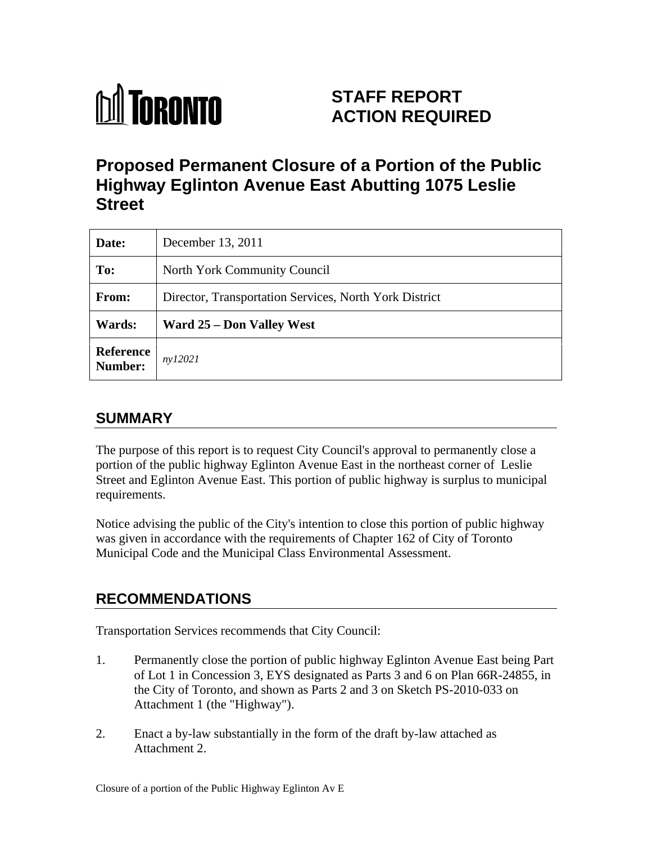

# **STAFF REPORT ACTION REQUIRED**

# **Proposed Permanent Closure of a Portion of the Public Highway Eglinton Avenue East Abutting 1075 Leslie Street**

| Date:                 | December 13, 2011                                      |
|-----------------------|--------------------------------------------------------|
| To:                   | North York Community Council                           |
| From:                 | Director, Transportation Services, North York District |
| <b>Wards:</b>         | <b>Ward 25 – Don Valley West</b>                       |
| Reference $n y 12021$ |                                                        |

## **SUMMARY**

The purpose of this report is to request City Council's approval to permanently close a portion of the public highway Eglinton Avenue East in the northeast corner of Leslie Street and Eglinton Avenue East. This portion of public highway is surplus to municipal requirements.

Notice advising the public of the City's intention to close this portion of public highway was given in accordance with the requirements of Chapter 162 of City of Toronto Municipal Code and the Municipal Class Environmental Assessment.

## **RECOMMENDATIONS**

Transportation Services recommends that City Council:

- 1. Permanently close the portion of public highway Eglinton Avenue East being Part of Lot 1 in Concession 3, EYS designated as Parts 3 and 6 on Plan 66R-24855, in the City of Toronto, and shown as Parts 2 and 3 on Sketch PS-2010-033 on Attachment 1 (the "Highway").
- 2. Enact a by-law substantially in the form of the draft by-law attached as Attachment 2.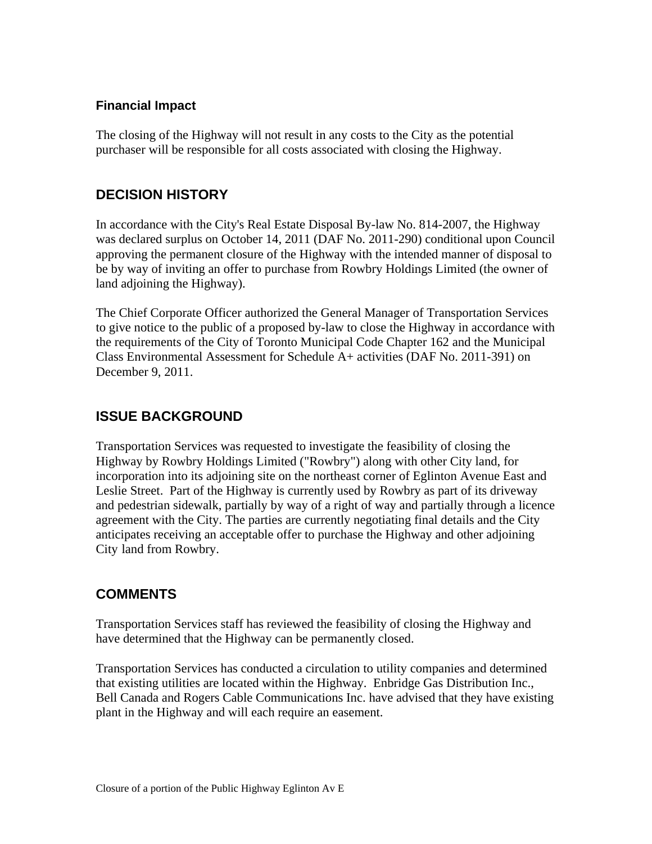#### **Financial Impact**

The closing of the Highway will not result in any costs to the City as the potential purchaser will be responsible for all costs associated with closing the Highway.

#### **DECISION HISTORY**

In accordance with the City's Real Estate Disposal By-law No. 814-2007, the Highway was declared surplus on October 14, 2011 (DAF No. 2011-290) conditional upon Council approving the permanent closure of the Highway with the intended manner of disposal to be by way of inviting an offer to purchase from Rowbry Holdings Limited (the owner of land adjoining the Highway).

The Chief Corporate Officer authorized the General Manager of Transportation Services to give notice to the public of a proposed by-law to close the Highway in accordance with the requirements of the City of Toronto Municipal Code Chapter 162 and the Municipal Class Environmental Assessment for Schedule A+ activities (DAF No. 2011-391) on December 9, 2011.

#### **ISSUE BACKGROUND**

Transportation Services was requested to investigate the feasibility of closing the Highway by Rowbry Holdings Limited ("Rowbry") along with other City land, for incorporation into its adjoining site on the northeast corner of Eglinton Avenue East and Leslie Street. Part of the Highway is currently used by Rowbry as part of its driveway and pedestrian sidewalk, partially by way of a right of way and partially through a licence agreement with the City. The parties are currently negotiating final details and the City anticipates receiving an acceptable offer to purchase the Highway and other adjoining City land from Rowbry.

### **COMMENTS**

Transportation Services staff has reviewed the feasibility of closing the Highway and have determined that the Highway can be permanently closed.

Transportation Services has conducted a circulation to utility companies and determined that existing utilities are located within the Highway. Enbridge Gas Distribution Inc., Bell Canada and Rogers Cable Communications Inc. have advised that they have existing plant in the Highway and will each require an easement.